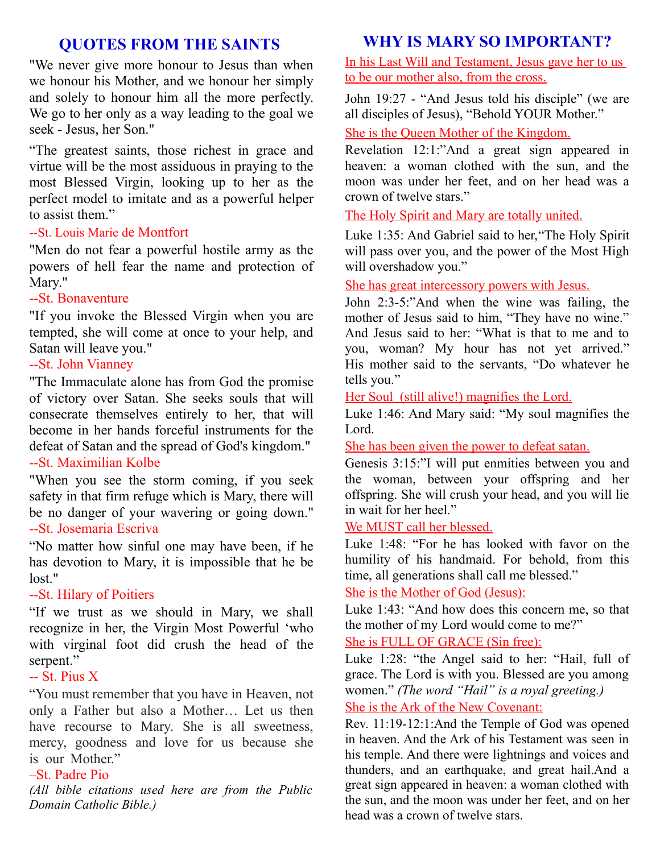# **QUOTES FROM THE SAINTS**

"We never give more honour to Jesus than when we honour his Mother, and we honour her simply and solely to honour him all the more perfectly. We go to her only as a way leading to the goal we seek - Jesus, her Son."

"The greatest saints, those richest in grace and virtue will be the most assiduous in praying to the most Blessed Virgin, looking up to her as the perfect model to imitate and as a powerful helper to assist them."

#### --St. Louis Marie de Montfort

"Men do not fear a powerful hostile army as the powers of hell fear the name and protection of Mary."

#### --St. Bonaventure

"If you invoke the Blessed Virgin when you are tempted, she will come at once to your help, and Satan will leave you."

# --St. John Vianney

"The Immaculate alone has from God the promise of victory over Satan. She seeks souls that will consecrate themselves entirely to her, that will become in her hands forceful instruments for the defeat of Satan and the spread of God's kingdom." --St. Maximilian Kolbe

"When you see the storm coming, if you seek safety in that firm refuge which is Mary, there will be no danger of your wavering or going down." --St. Josemaria Escriva

"No matter how sinful one may have been, if he has devotion to Mary, it is impossible that he be lost."

# --St. Hilary of Poitiers

"If we trust as we should in Mary, we shall recognize in her, the Virgin Most Powerful 'who with virginal foot did crush the head of the serpent."

# -- St. Pius X

"You must remember that you have in Heaven, not only a Father but also a Mother… Let us then have recourse to Mary. She is all sweetness, mercy, goodness and love for us because she is our Mother."

#### –St. Padre Pio

*(All bible citations used here are from the Public Domain Catholic Bible.)*

# **WHY IS MARY SO IMPORTANT?**

In his Last Will and Testament, Jesus gave her to us to be our mother also, from the cross.

John 19:27 - "And Jesus told his disciple" (we are all disciples of Jesus), "Behold YOUR Mother."

She is the Queen Mother of the Kingdom.

Revelation 12:1:"And a great sign appeared in heaven: a woman clothed with the sun, and the moon was under her feet, and on her head was a crown of twelve stars."

# The Holy Spirit and Mary are totally united.

Luke 1:35: And Gabriel said to her,"The Holy Spirit will pass over you, and the power of the Most High will overshadow you."

# She has great intercessory powers with Jesus.

John 2:3-5:"And when the wine was failing, the mother of Jesus said to him, "They have no wine." And Jesus said to her: "What is that to me and to you, woman? My hour has not yet arrived." His mother said to the servants, "Do whatever he tells you."

# Her Soul (still alive!) magnifies the Lord.

Luke 1:46: And Mary said: "My soul magnifies the Lord.

She has been given the power to defeat satan.

Genesis 3:15:"I will put enmities between you and the woman, between your offspring and her offspring. She will crush your head, and you will lie in wait for her heel."

# We MUST call her blessed.

Luke 1:48: "For he has looked with favor on the humility of his handmaid. For behold, from this time, all generations shall call me blessed."

# She is the Mother of God (Jesus):

Luke 1:43: "And how does this concern me, so that the mother of my Lord would come to me?"

# She is FULL OF GRACE (Sin free):

Luke 1:28: "the Angel said to her: "Hail, full of grace. The Lord is with you. Blessed are you among women." *(The word "Hail" is a royal greeting.)* She is the Ark of the New Covenant:

Rev. 11:19-12:1:And the Temple of God was opened in heaven. And the Ark of his Testament was seen in his temple. And there were lightnings and voices and thunders, and an earthquake, and great hail.And a great sign appeared in heaven: a woman clothed with the sun, and the moon was under her feet, and on her head was a crown of twelve stars.